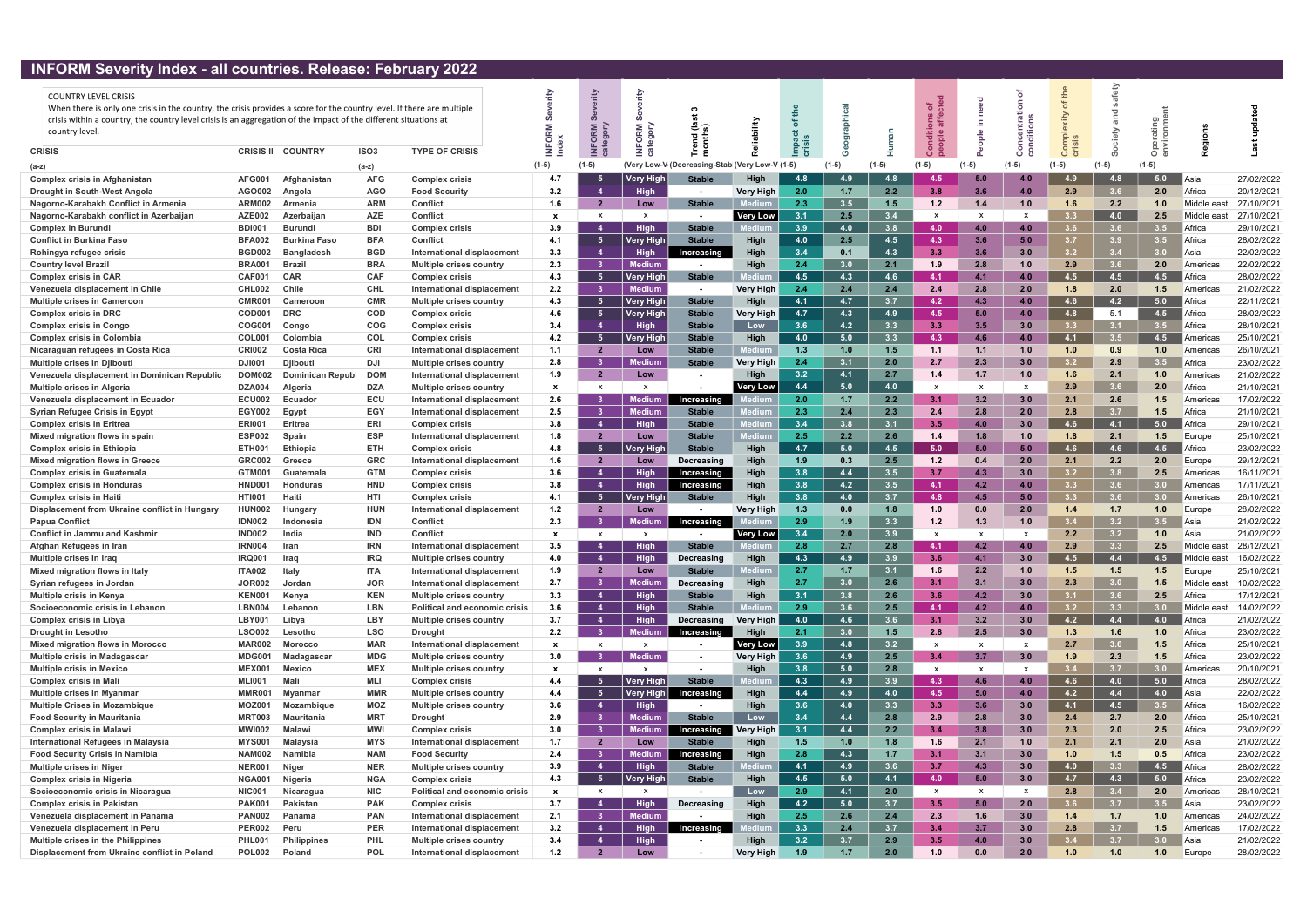## INFORM Severity Index - all countries. Release: February 2022

|--|

| $\mathbf{m}$ of $\mathbf{m}$ by $\mathbf{m}$ and $\mathbf{m}$ are soluting the subset of $\mathbf{m}$<br><b>COUNTRY LEVEL CRISIS</b><br>When there is only one crisis in the country, the crisis provides a score for the country level. If there are multiple<br>crisis within a country, the country level crisis is an aggregation of the impact of the different situations at<br>country level. |                         |                     |                          |                                                | O            | $\boldsymbol{q}$<br>$\circ$      | ORM                 | =្ ⊚<br>곧 혼                    |                  |            |                  |                  | of<br>cte        | ਠ<br>nee<br>Ξ.<br>$\frac{e}{2}$ |              |                  |            |                  |                      |                          |
|------------------------------------------------------------------------------------------------------------------------------------------------------------------------------------------------------------------------------------------------------------------------------------------------------------------------------------------------------------------------------------------------------|-------------------------|---------------------|--------------------------|------------------------------------------------|--------------|----------------------------------|---------------------|--------------------------------|------------------|------------|------------------|------------------|------------------|---------------------------------|--------------|------------------|------------|------------------|----------------------|--------------------------|
| <b>CRISIS</b>                                                                                                                                                                                                                                                                                                                                                                                        | <b>CRISIS II</b>        | <b>COUNTRY</b>      | ISO <sub>3</sub>         | <b>TYPE OF CRISIS</b>                          |              |                                  |                     | 론                              |                  |            |                  |                  |                  |                                 | $\circ$      | $\circ$          |            |                  |                      |                          |
| (a-z)                                                                                                                                                                                                                                                                                                                                                                                                |                         |                     | (a-z)                    |                                                | $(1-5)$      | $(1-5)$                          | (Verv Low-V)        | (Decreasing-Stab)              | Verv Low-V (1-5) |            |                  | (1-5)            | $(1-5)$          |                                 | $(1-5)$      | $(1-5)$          |            | $(1-5)$          |                      |                          |
| <b>Complex crisis in Afghanistan</b>                                                                                                                                                                                                                                                                                                                                                                 | <b>AFG001</b>           | Afghanistan         | <b>AFG</b>               | <b>Complex crisis</b>                          | 4.7          | -5                               | <b>Very High</b>    | <b>Stable</b>                  | Hiah             | 4.8        | 4.9              | 4.8              | $4.5^{\circ}$    | 5.0                             | 4.0          | 49               | 4.8        | 5.0              | Asia                 | 27/02/2022               |
| Drought in South-West Angola                                                                                                                                                                                                                                                                                                                                                                         | AGO002                  | Angola              | <b>AGO</b>               | <b>Food Security</b>                           | 3.2          | $\mathbf{A}$                     | <b>High</b>         |                                | Very High        | 2.0        | 1.7              | 2.2              | 3.8              | 3.6                             | 4.0          | 2.9              | 3.6        | 2.0              | Africa               | 20/12/2021               |
| Nagorno-Karabakh Conflict in Armenia                                                                                                                                                                                                                                                                                                                                                                 | <b>ARM002</b>           | Armenia             | <b>ARM</b>               | <b>Conflict</b>                                | 1.6          | $\overline{\mathbf{2}}$          | Low                 | <b>Stable</b>                  |                  | 2.3        | 3.5              | 1.5              | 1.2              | 1.4                             | 1.0          | 1.6              | 2.2        | 1.0              | Middle east          | 27/10/2021               |
| Nagorno-Karabakh conflict in Azerbaijan                                                                                                                                                                                                                                                                                                                                                              | <b>AZE002</b>           | Azerbaijan          | <b>AZE</b>               | <b>Conflict</b>                                | $\mathbf{x}$ | X                                | $\mathsf{x}$        |                                | <b>Very Low</b>  | 3.1        | 2.5              | 3.4              | $\mathsf{x}$     | $\mathbf{x}$                    |              |                  | 4.0        | 2.5              | Middle east          | 27/10/2021               |
| <b>Complex in Burundi</b>                                                                                                                                                                                                                                                                                                                                                                            | <b>BDI001</b>           | Burundi             | <b>BDI</b>               | <b>Complex crisis</b>                          | 3.9          | -4                               | <b>High</b>         | <b>Stable</b>                  | Medii            | 3.9        | 4.0              | 3.8              | 4.0              | 4.0                             | 4.0          | 3.6              | 3.6        | 3.5              | Africa               | 29/10/2021               |
| <b>Conflict in Burkina Faso</b>                                                                                                                                                                                                                                                                                                                                                                      | <b>BFA002</b>           | <b>Burkina Faso</b> | <b>BFA</b>               | <b>Conflict</b>                                | 4.1          | - 5                              | Very High           | <b>Stable</b>                  | <b>High</b>      | 4.0        | 2.5              | 4.5              | 4.3              | 3.6                             | 5.0          |                  | 3.9        | 3.5              | Africa               | 28/02/2022               |
| Rohingya refugee crisis                                                                                                                                                                                                                                                                                                                                                                              | <b>BGD002</b>           | <b>Bangladesh</b>   | <b>BGD</b>               | International displacement                     | 3.3          | $\overline{a}$                   | <b>High</b>         | Increasing                     | Hiah             | 3.4        | 0.1              | 4.3              | 3.3 <sub>1</sub> | 3.6                             | 3.0          | 2つ               | 3.4        | 3.0              | Asia                 | 22/02/2022               |
| <b>Country level Brazil</b>                                                                                                                                                                                                                                                                                                                                                                          | <b>BRA001</b>           | <b>Brazi</b>        | <b>BRA</b>               | <b>Multiple crises country</b>                 | 2.3          | -3                               | <b>Medium</b>       |                                | <b>High</b>      | 2.4        | 3.0              | 2.1              | 1.9              | 2.8                             | 1.0          | 2.9              | 3.6        | 2.0              | Americas             | 22/02/2022               |
| <b>Complex crisis in CAR</b>                                                                                                                                                                                                                                                                                                                                                                         | CAF001                  | <b>CAR</b>          | <b>CAF</b>               | <b>Complex crisis</b>                          | 4.3          | - 5                              | <b>Very High</b>    | <b>Stable</b>                  |                  | 4.5        | 4.3              | 4.6              | 4.1              | 4.1                             | 4.0          | 4.5              | 4.5        | 4.5              | Africa               | 28/02/2022               |
| Venezuela displacement in Chile                                                                                                                                                                                                                                                                                                                                                                      | <b>CHL002</b>           | <b>Chile</b>        | <b>CHL</b>               | International displacement                     | 2.2          | - 3                              | <b>Medium</b>       |                                | <b>Very High</b> | 2.4        | 2.4              | 2.4              | 2.4              | 2.8                             | 2.0          | 1.8              | 2.0        | 1.5              | Americas             | 21/02/2022               |
| <b>Multiple crises in Cameroon</b>                                                                                                                                                                                                                                                                                                                                                                   | <b>CMR00</b>            | Cameroon            | <b>CMR</b>               | <b>Multiple crises country</b>                 | 4.3          | - 5                              | Very High           | <b>Stable</b>                  | High             | 4.1        | 4.7              | 3.7              | 4.2              | 4.3                             | 4.0          | 4.6              | 4.2        | 5.0              | Africa               | 22/11/2021               |
| <b>Complex crisis in DRC</b>                                                                                                                                                                                                                                                                                                                                                                         | COD <sub>00</sub>       | <b>DRC</b>          | <b>COD</b>               | <b>Complex crisis</b>                          | 4.6          | - 5                              | Very High           | <b>Stable</b>                  | Very High        | 4.7        | 4.3              | 4.9              | 4.5              | 5.0                             | 4.0          | 4.8              | 5.1        | 4.5              | Africa               | 28/02/2022               |
| <b>Complex crisis in Congo</b>                                                                                                                                                                                                                                                                                                                                                                       | COG001                  | Congo               | <b>COG</b>               | <b>Complex crisis</b>                          | 3.4          | $\mathbf{A}$                     | High                | <b>Stable</b>                  | Low              | 3.6        | 4.2              | 3.3              | 3.3              | 3.5                             | 3.0          |                  | 3.1        | 3.5              | Africa               | 28/10/2021               |
| <b>Complex crisis in Colombia</b>                                                                                                                                                                                                                                                                                                                                                                    | COL00                   | Colombia            | <b>COL</b>               | <b>Complex crisis</b>                          | 4.2          | -5                               | Very High           | <b>Stable</b>                  | High             | 4.0        | 5.0              | 3.3              | 4.3              | 4.6                             | 4.0          | 4.1              | 3.5        | 4.5              | Americas             | 25/10/2021               |
| Nicaraguan refugees in Costa Rica                                                                                                                                                                                                                                                                                                                                                                    | <b>CRI002</b>           | <b>Costa Rica</b>   | <b>CRI</b>               | International displacement                     | 1.1          | -2                               | Low                 | <b>Stable</b>                  | <b>Aediu</b>     | 1.3        | 1.0              | 1.5              | 1.1              | 1.1                             | 1.0          | 1.0              | 0.9        | 1.0              | Americas             | 26/10/2021               |
| <b>Multiple crises in Djibouti</b>                                                                                                                                                                                                                                                                                                                                                                   | <b>DJI001</b>           | <b>Diibouti</b>     | DJI                      | <b>Multiple crises country</b>                 | 2.8          | - 3                              | Medium              | <b>Stable</b>                  | Very High        | 2.4        | 3.1              | 2.0              | 2.7              | 2.3                             | 3.0          | 3.2              | 2.9        | 3.5              | Africa               | 23/02/2022               |
| Venezuela displacement in Dominican Republic                                                                                                                                                                                                                                                                                                                                                         | <b>DOM002</b>           | Dominican Republ    | <b>DOM</b>               | <b>International displacement</b>              | 1.9          | $\overline{2}$                   | Low                 |                                | Hiah             | 3.2        | 4.1              | 2.7              | 1.4              | 1.7                             | 1.0          | 1.6              | 2.1        | 1.0              | Americas             | 21/02/2022               |
| <b>Multiple crises in Algeria</b>                                                                                                                                                                                                                                                                                                                                                                    | <b>DZA004</b>           | Algeria             | <b>DZA</b>               | <b>Multiple crises country</b>                 | $\mathbf{x}$ | X                                | $\mathsf{X}$        |                                | Very Low         | 4.4        | 5.0              | 4.0              | $\mathsf{x}$     | $\mathbf{x}$                    |              | 2.9              | 3.6        | 2.0              | Africa               | 21/10/2021               |
| Venezuela displacement in Ecuador                                                                                                                                                                                                                                                                                                                                                                    | <b>ECU002</b>           | Ecuador             | ECU                      | <b>International displacement</b>              | 2.6          | - 3                              | <b>Medium</b>       | Increasing                     |                  | 2.0<br>2.3 | 1.7<br>2.4       | 2.2              | 3.1              | 3.2<br>2.8                      | 3.0          | 2.1              | 2.6<br>3.7 | 1.5              | Americas             | 17/02/2022<br>21/10/2021 |
| Syrian Refugee Crisis in Egypt                                                                                                                                                                                                                                                                                                                                                                       | <b>EGY002</b>           | Egypt<br>Eritrea    | EGY                      | International displacement                     | 2.5          |                                  | <b>Medium</b>       | <b>Stable</b><br><b>Stable</b> | <b>Medi</b>      | 3.4        | 3.8              | 2.3<br>3.1       | 2.4<br>3.5       |                                 | 2.0<br>3.0   |                  | 4.1        | 1.5<br>5.0       | Africa               |                          |
| <b>Complex crisis in Eritrea</b>                                                                                                                                                                                                                                                                                                                                                                     | <b>ERI001</b>           |                     | <b>ERI</b><br><b>ESP</b> | <b>Complex crisis</b>                          | 3.8          | $\overline{a}$<br>$\overline{2}$ | <b>High</b>         |                                | Mediu            |            |                  |                  |                  | 4.0                             |              |                  |            |                  | Africa               | 29/10/2021<br>25/10/2021 |
| Mixed migration flows in spain                                                                                                                                                                                                                                                                                                                                                                       | <b>ESP002</b>           | Spain               |                          | International displacement                     | 1.8          | - 5                              | Low                 | <b>Stable</b><br><b>Stable</b> | Hiah             | 2.5<br>4.7 | 2.2<br>5.0       | 2.6<br>4.5       | 1.4<br>5.0       | 1.8<br>5.0                      | 1.0<br>5.0   |                  | 2.1<br>4.6 | 1.5<br>4.5       | Europe               | 23/02/2022               |
| <b>Complex crisis in Ethiopia</b>                                                                                                                                                                                                                                                                                                                                                                    | ETH001<br><b>GRC002</b> | Ethiopia            | <b>ETH</b><br><b>GRC</b> | <b>Complex crisis</b>                          | 4.8<br>1.6   | $\overline{\mathbf{2}}$          | ∣ Very Higl         |                                |                  | 1.9        | 0.3              | 2.5              | 1.2              | 0.4                             | 2.0          |                  | 2.2        | 2.0              | Africa               | 29/12/2021               |
| <b>Mixed migration flows in Greece</b>                                                                                                                                                                                                                                                                                                                                                               | GTM001                  | Greece<br>Guatemala | <b>GTM</b>               | International displacement                     | 3.6          |                                  | Low                 | Decreasing                     | High             |            |                  |                  | 3.7              |                                 | 3.0          | 2.1<br>3.2       | 3.8        | 2.5              | Europe               | 16/11/2021               |
| <b>Complex crisis in Guatemala</b>                                                                                                                                                                                                                                                                                                                                                                   | HND00                   | <b>Honduras</b>     | <b>HND</b>               | <b>Complex crisis</b>                          | 3.8          | -4<br>-4                         | <b>High</b>         | Increasing                     | High<br>High     | 3.8<br>3.8 | 4.4<br>4.2       | 3.5<br>3.5       | 4.1              | 4.3<br>4.2                      | 4.0          | 3.3 <sub>1</sub> | 3.6        | 3.0              | Americas<br>Americas | 17/11/2021               |
| <b>Complex crisis in Honduras</b><br><b>Complex crisis in Haiti</b>                                                                                                                                                                                                                                                                                                                                  | <b>HTI001</b>           | Haiti               | <b>HTI</b>               | <b>Complex crisis</b><br><b>Complex crisis</b> | 4.1          | - 5                              | High<br>∣ Very Higł | Increasing<br><b>Stable</b>    | <b>High</b>      | 3.8        | 4.0              | 3.7              | 4.8              | 4.5                             | 5.0          | 3.3 <sup>°</sup> | 3.6        | 3.0              | Americas             | 26/10/2021               |
| Displacement from Ukraine conflict in Hungary                                                                                                                                                                                                                                                                                                                                                        | <b>HUN002</b>           | Hungary             | <b>HUN</b>               | International displacement                     | 1.2          | $\overline{2}$                   | Low                 |                                | <b>Very High</b> | 1.3        | 0.0              | 1.8              | 1.0              | 0.0                             | 2.0          | 1.4              | 1.7        | 1.0              | Europe               | 28/02/2022               |
| <b>Papua Conflict</b>                                                                                                                                                                                                                                                                                                                                                                                | <b>IDN002</b>           | Indonesia           | <b>IDN</b>               | <b>Conflict</b>                                | 2.3          | -3                               | ledium              | Increasing                     |                  | 2.9        | 1.9              | 3.3              | 1.2              | 1.3                             | 1.0          |                  | 3.2        | 3.5              | Asia                 | 21/02/2022               |
| <b>Conflict in Jammu and Kashmir</b>                                                                                                                                                                                                                                                                                                                                                                 | <b>IND002</b>           | India               | <b>IND</b>               | <b>Conflict</b>                                | $\mathbf{x}$ | X                                | X                   |                                | Very Low         | 3.4        | 2.0              | 3.9              | x                |                                 |              | 2.2              | 3.2        | 1.0              | Asia                 | 21/02/2022               |
| Afghan Refugees in Irar                                                                                                                                                                                                                                                                                                                                                                              | <b>IRN004</b>           | Iran                | <b>IRN</b>               | International displacement                     | 3.5          | $\mathbf{A}$                     | <b>High</b>         | <b>Stable</b>                  |                  | 2.8        | 2.7              | 2.8              | 4.1              | 4.2                             | 4.0          | $2.9^{\circ}$    | 3.3        | 2.5              | Middle east          | 28/12/2021               |
| Multiple crises in Iraq                                                                                                                                                                                                                                                                                                                                                                              | <b>IRQ001</b>           | Iraq                | <b>IRQ</b>               | <b>Multiple crises country</b>                 | 4.0          | $\mathbf{A}$                     | <b>High</b>         | <b>Decreasing</b>              | Hiah             | 4.3        | 4.9              | 3.9              | 3.6              | 4.1                             | 3.0          | 4.5              | 4.4        | 4.5              | Middle east          | 16/02/2022               |
| Mixed migration flows in Italy                                                                                                                                                                                                                                                                                                                                                                       | <b>ITA002</b>           | Italy               | <b>ITA</b>               | International displacement                     | 1.9          | -2                               | Low                 | <b>Stable</b>                  | lediu            | 2.7        | 1.7              | 3.1              | 1.6              | 2.2                             | 1.0          | 1.5              | 1.5        | 1.5              | Europe               | 25/10/2021               |
| Syrian refugees in Jordan                                                                                                                                                                                                                                                                                                                                                                            | <b>JOR002</b>           | Jordan              | <b>JOR</b>               | International displacement                     | 2.7          | - 3                              | <b>Medium</b>       | <b>Decreasing</b>              | <b>High</b>      | 2.7        | 3.0              | 2.6              | 3.1              | 3.1                             | 3.0          | 2.3              | 3.0        | $1.5$            | Middle east          | 10/02/2022               |
| <b>Multiple crisis in Kenya</b>                                                                                                                                                                                                                                                                                                                                                                      | KEN00                   | Kenya               | <b>KEN</b>               | <b>Multiple crises country</b>                 | 3.3          | 4                                | <b>High</b>         | <b>Stable</b>                  | High             | 3.1        | 3.8              | 2.6              | 3.6              | 4.2                             | 3.0          |                  | 3.6        | 2.5              | Africa               | 17/12/2021               |
| Socioeconomic crisis in Lebanon                                                                                                                                                                                                                                                                                                                                                                      | LBN004                  | Lebanon             | <b>LBN</b>               | <b>Political and economic crisis</b>           | 3.6          | $\overline{a}$                   | <b>High</b>         | <b>Stable</b>                  | Mediur           | 2.9        | 3.6              | 2.5              | 4.1              | 4.2                             | 4.0          | 3.2              | 3.3        | 3.0              | Middle east          | 14/02/2022               |
| <b>Complex crisis in Libya</b>                                                                                                                                                                                                                                                                                                                                                                       | <b>LBY001</b>           | Libya               | <b>LBY</b>               | <b>Multiple crises country</b>                 | 3.7          | -4                               | <b>High</b>         | <b>Decreasing</b>              | <b>Very High</b> | 4.0        | 4.6              | 3.6              | 3.1              | 3.2                             | 3.0          | 4.2              | 4.4        | 4.0              | Africa               | 21/02/2022               |
| <b>Drought in Lesotho</b>                                                                                                                                                                                                                                                                                                                                                                            | <b>LSO002</b>           | Lesotho             | <b>LSO</b>               | <b>Drought</b>                                 | 2.2          | 3 <sup>1</sup>                   | <b>Medium</b>       | Increasing                     | High             | 2.1        | 3.0              | 1.5              | 2.8              | 2.5                             | 3.0          | 1.3              | 1.6        | 1.0              | Africa               | 23/02/2022               |
| <b>Mixed migration flows in Morocco</b>                                                                                                                                                                                                                                                                                                                                                              | <b>MAR002</b>           | <b>Morocco</b>      | <b>MAR</b>               | International displacement                     | $\mathbf{x}$ | X                                | $\mathsf{X}$        |                                | Very Low         | 3.9        | 4.8              | 3.2              | $\mathsf{x}$     |                                 |              | 2.7              | 3.6        | 1.5              | Africa               | 25/10/2021               |
| <b>Multiple crisis in Madagascar</b>                                                                                                                                                                                                                                                                                                                                                                 | MDG001                  | Madagascar          | <b>MDG</b>               | <b>Multiple crises country</b>                 | 3.0          | -3.                              | <b>Medium</b>       |                                | Very High        | 3.6        | 4.9              | 2.5              | 3.4              | 3.7                             | 3.0          | 1.9              | 2.3        | 1.5              | Africa               | 23/02/2022               |
| <b>Multiple crisis in Mexico</b>                                                                                                                                                                                                                                                                                                                                                                     | <b>MEX001</b>           | <b>Mexico</b>       | <b>MEX</b>               | <b>Multiple crises country</b>                 | <b>X</b>     | X                                | $\mathbf{x}$        |                                | <b>High</b>      | 3.8        | 5.0              | 2.8              | X                | X                               | $\mathbf{x}$ | $3.4^{\circ}$    | 3.7        | 3.0              | Americas             | 20/10/2021               |
| <b>Complex crisis in Mali</b>                                                                                                                                                                                                                                                                                                                                                                        | <b>MLI001</b>           | <b>Mali</b>         | <b>MLI</b>               | <b>Complex crisis</b>                          | 4.4          | -5                               | Very High           | <b>Stable</b>                  |                  | 4.3        | 4.9              | 3.9              | 4.3              | 4.6                             | 4.0          | 4.6              | 4.0        | 5.0              | Africa               | 28/02/2022               |
| <b>Multiple crises in Myanmar</b>                                                                                                                                                                                                                                                                                                                                                                    | MMR001                  | Myanmar             | <b>MMR</b>               | <b>Multiple crises country</b>                 | 4.4          | -5                               | Very High           | Increasing                     | High             | 4.4        | 4.9              | 4.0              | 4.5              | 5.0                             | 4.0          | 4.2              | 4.4        | 4.0              | Asia                 | 22/02/2022               |
| <b>Multiple Crises in Mozambique</b>                                                                                                                                                                                                                                                                                                                                                                 | <b>MOZ001</b>           | Mozambique          | <b>MOZ</b>               | <b>Multiple crises country</b>                 | 3.6          | 4                                | High                |                                | High             | 3.6        | 4.0              | 3.3 <sub>1</sub> | 3.3              | 3.6                             | 3.0          | 4.1              | 4.5        | 3.5              | Africa               | 16/02/2022               |
| <b>Food Security in Mauritania</b>                                                                                                                                                                                                                                                                                                                                                                   | <b>MRT003</b>           | <b>Mauritania</b>   | <b>MRT</b>               | <b>Drought</b>                                 | 2.9          | 3 <sup>1</sup>                   | <b>Medium</b>       | <b>Stable</b>                  | Low              | 3.4        | 4.4              | 2.8              | 2.9              | 2.8                             | 3.0          | 2.4              | 2.7        | 2.0              | Africa               | 25/10/2021               |
| <b>Complex crisis in Malawi</b>                                                                                                                                                                                                                                                                                                                                                                      | <b>MWI002</b>           | <b>Malawi</b>       | <b>MWI</b>               | <b>Complex crisis</b>                          | 3.0          | 3 <sup>1</sup>                   | <b>Medium</b>       | Increasing                     | <b>Very High</b> | 3.1        | 4.4              | 2.2              | 3.4              | 3.8                             | 3.0          | 2.3              | 2.0        | 2.5              | Africa               | 23/02/2022               |
| International Refugees in Malaysia                                                                                                                                                                                                                                                                                                                                                                   | <b>MYS001</b>           | Malaysia            | <b>MYS</b>               | International displacement                     | 1.7          | $\overline{2}$                   | Low                 | <b>Stable</b>                  | High             | 1.5        | 1.0              | 1.8              | 1.6              | 2.1                             | 1.0          |                  | 2.1        | 2.0              | Asia                 | 21/02/2022               |
| <b>Food Security Crisis in Namibia</b>                                                                                                                                                                                                                                                                                                                                                               | <b>NAM002</b>           | Namibia             | <b>NAM</b>               | <b>Food Security</b>                           | 2.4          | - 3                              | Medium              | Increasing                     | High             | 2.8        | 4.3              | 1.7              | 3.1              | 3.1                             | 3.0          | 1.0              | 1.5        | 0.5              | Africa               | 23/02/2022               |
| <b>Multiple crises in Niger</b>                                                                                                                                                                                                                                                                                                                                                                      | NER00                   | Niger               | <b>NER</b>               | <b>Multiple crises country</b>                 | 3.9          | $\mathbf{A}$                     | <b>High</b>         | <b>Stable</b>                  |                  | 4.1        | 4.9              | 3.6              | 3.7              | 4.3                             | 3.0          | 4.0              | 3.3        | 4.5              | Africa               | 28/02/2022               |
| <b>Complex crisis in Nigeria</b>                                                                                                                                                                                                                                                                                                                                                                     | <b>NGA001</b>           | Nigeria             | <b>NGA</b>               | <b>Complex crisis</b>                          | 4.3          | -5                               | Very High           | <b>Stable</b>                  | <b>High</b>      | 4.5        | 5.0              | 4.1              | 4.0              | 5.0                             | 3.0          | 4.7              | 4.3        | 5.0              | Africa               | 23/02/2022               |
| Socioeconomic crisis in Nicaragua                                                                                                                                                                                                                                                                                                                                                                    | <b>NIC001</b>           | Nicaragua           | <b>NIC</b>               | <b>Political and economic crisis</b>           | $\mathbf{x}$ | X                                | $\mathbf{x}$        | $\sim$                         | Low              | 2.9        | 4.1              | 2.0              | $\mathsf{x}$     | $\mathsf{x}$                    | $\mathbf{x}$ | 2.8              | 3.4        | 2.0              | Americas             | 28/10/2021               |
| <b>Complex crisis in Pakistan</b>                                                                                                                                                                                                                                                                                                                                                                    | PAK00                   | Pakistan            | <b>PAK</b>               | <b>Complex crisis</b>                          | 3.7          | $\overline{4}$                   | High                | Decreasing                     | High             | 4.2        | 5.0              | 3.7              | 3.5              | 5.0                             | 2.0          | 3.6.             | 3.7        | 3.5              | Asia                 | 23/02/2022               |
| Venezuela displacement in Panama                                                                                                                                                                                                                                                                                                                                                                     | <b>PAN002</b>           | Panama              | <b>PAN</b>               | International displacement                     | 2.1          | 3 <sup>1</sup>                   | <b>Medium</b>       |                                | <b>High</b>      | 2.5        | 2.6              | 2.4              | 2.3              | 1.6                             | 3.0          | 1.4              | 1.7        | 1.0              | Americas             | 24/02/2022               |
| Venezuela displacement in Peru                                                                                                                                                                                                                                                                                                                                                                       | <b>PER002</b>           | Peru                | <b>PER</b>               | International displacement                     | 3.2          | -4                               | High                | Increasing                     |                  | 3.3        | 2.4              | 3.7              | 3.4              | 3.7                             | 3.0          | 2.8              | 3.7        | 1.5              | Americas             | 17/02/2022               |
| <b>Multiple crises in the Philippines</b>                                                                                                                                                                                                                                                                                                                                                            | <b>PHL001</b>           | <b>Philippines</b>  | <b>PHL</b>               | <b>Multiple crises country</b>                 | 3.4          | -4                               | High                |                                | <b>High</b>      | 3.2        | 3.7              | 2.9              | 3.5              | 4.0                             | 3.0          |                  | 3.7        | 3.0 <sub>2</sub> | Asia                 | 21/02/2022               |
| Displacement from Ukraine conflict in Poland                                                                                                                                                                                                                                                                                                                                                         | POL002                  | Poland              | <b>POL</b>               | International displacement                     | 1.2          | $\mathbf{2}$                     | Low                 |                                | Very High        | 1.9        | 1.7 <sub>z</sub> | 2.0              | 1.0              | 0.0                             | 2.0          | 1.0              | 1.0        | 1.0              | Europe               | 28/02/2022               |